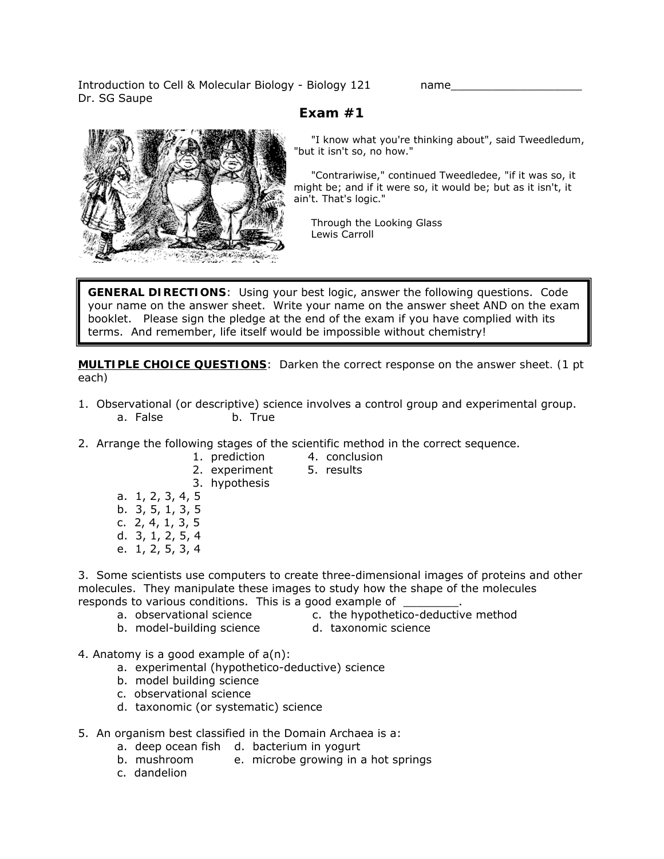Introduction to Cell & Molecular Biology - Biology 121 hame Dr. SG Saupe

## **Exam #1**



 "I know what you're thinking about", said Tweedledum, "but it isn't so, no how."

 "Contrariwise," continued Tweedledee, "if it was so, it might be; and if it were so, it would be; but as it isn't, it ain't. That's logic."

 Through the Looking Glass Lewis Carroll

**GENERAL DIRECTIONS**: Using your best logic, answer the following questions. Code your name on the answer sheet. Write your name on the answer sheet AND on the exam booklet. Please sign the pledge at the end of the exam if you have complied with its terms. And remember, life itself would be impossible without chemistry!

**MULTIPLE CHOICE QUESTIONS**: *Darken the correct response on the answer sheet. (1 pt each)* 

- 1. Observational (or descriptive) science involves a control group and experimental group. a. False b. True
- 2. Arrange the following stages of the scientific method in the correct sequence.
	- 1. prediction 4. conclusion
	- 2. experiment 5. results
		-
	- 3. hypothesis
	- a. 1, 2, 3, 4, 5
	- b. 3, 5, 1, 3, 5
	- c. 2, 4, 1, 3, 5
	- d. 3, 1, 2, 5, 4
	- e. 1, 2, 5, 3, 4

3. Some scientists use computers to create three-dimensional images of proteins and other molecules. They manipulate these images to study how the shape of the molecules responds to various conditions. This is a good example of

- 
- a. observational science c. the hypothetico-deductive method
- b. model-building science d. taxonomic science
- 

4. Anatomy is a good example of a(n):

- a. experimental (hypothetico-deductive) science
- b. model building science
- c. observational science
- d. taxonomic (or systematic) science
- 5. An organism best classified in the Domain Archaea is a:
	- a. deep ocean fish d. bacterium in yogurt
	- b. mushroom e. microbe growing in a hot springs
	- c. dandelion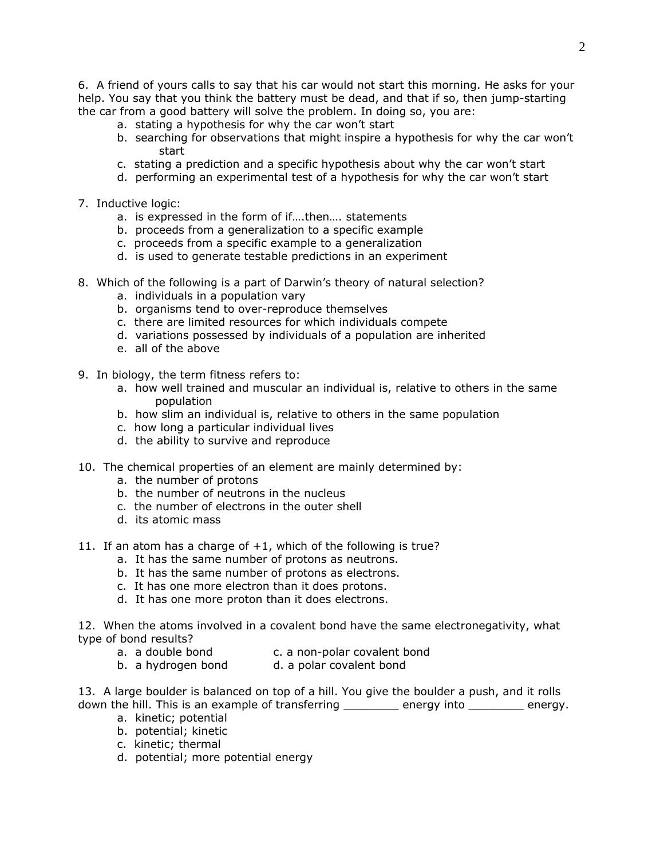6. A friend of yours calls to say that his car would not start this morning. He asks for your help. You say that you think the battery must be dead, and that if so, then jump-starting the car from a good battery will solve the problem. In doing so, you are:

- a. stating a hypothesis for why the car won't start
- b. searching for observations that might inspire a hypothesis for why the car won't start
- c. stating a prediction and a specific hypothesis about why the car won't start
- d. performing an experimental test of a hypothesis for why the car won't start
- 7. Inductive logic:
	- a. is expressed in the form of if….then…. statements
	- b. proceeds from a generalization to a specific example
	- c. proceeds from a specific example to a generalization
	- d. is used to generate testable predictions in an experiment
- 8. Which of the following is a part of Darwin's theory of natural selection?
	- a. individuals in a population vary
	- b. organisms tend to over-reproduce themselves
	- c. there are limited resources for which individuals compete
	- d. variations possessed by individuals of a population are inherited
	- e. all of the above
- 9. In biology, the term fitness refers to:
	- a. how well trained and muscular an individual is, relative to others in the same population
	- b. how slim an individual is, relative to others in the same population
	- c. how long a particular individual lives
	- d. the ability to survive and reproduce
- 10. The chemical properties of an element are mainly determined by:
	- a. the number of protons
	- b. the number of neutrons in the nucleus
	- c. the number of electrons in the outer shell
	- d. its atomic mass
- 11. If an atom has a charge of +1, which of the following is true?
	- a. It has the same number of protons as neutrons.
	- b. It has the same number of protons as electrons.
	- c. It has one more electron than it does protons.
	- d. It has one more proton than it does electrons.

12. When the atoms involved in a covalent bond have the same electronegativity, what type of bond results?

- a. a double bond c. a non-polar covalent bond
- b. a hydrogen bond d. a polar covalent bond

13. A large boulder is balanced on top of a hill. You give the boulder a push, and it rolls down the hill. This is an example of transferring \_\_\_\_\_\_\_\_ energy into \_\_\_\_\_\_\_\_ energy.

- a. kinetic; potential
- b. potential; kinetic
- c. kinetic; thermal
- d. potential; more potential energy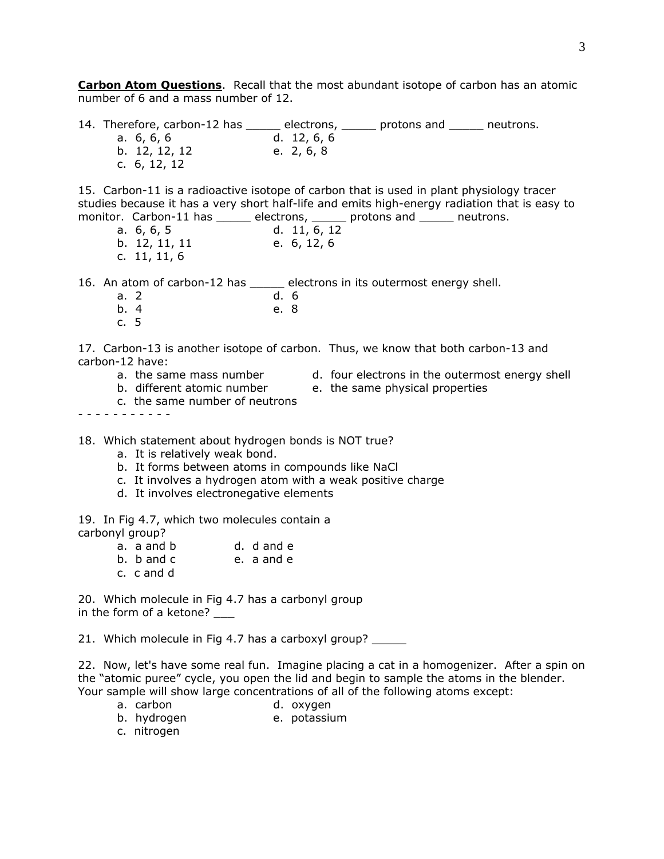**Carbon Atom Questions**. Recall that the most abundant isotope of carbon has an atomic number of 6 and a mass number of 12.

14. Therefore, carbon-12 has \_\_\_\_\_\_ electrons, \_\_\_\_\_\_ protons and \_\_\_\_\_\_ neutrons. a. 6, 6, 6 d. 12, 6, 6 b. 12, 12, 12 e. 2, 6, 8 c. 6, 12, 12

15. Carbon-11 is a radioactive isotope of carbon that is used in plant physiology tracer studies because it has a very short half-life and emits high-energy radiation that is easy to monitor. Carbon-11 has \_\_\_\_\_\_\_ electrons, \_\_\_\_\_\_ protons and \_\_\_\_\_\_ neutrons. monitor. Carbon-11 has electrons,

| a. $6, 6, 5$   |  | d. 11, 6, 12 |
|----------------|--|--------------|
|                |  |              |
| b. 12, 11, 11  |  | e. 6, 12, 6  |
| c. $11, 11, 6$ |  |              |

16. An atom of carbon-12 has \_\_\_\_\_\_ electrons in its outermost energy shell.

- a. 2 d. 6
- b. 4 e. 8
- c. 5

17. Carbon-13 is another isotope of carbon. Thus, we know that both carbon-13 and carbon-12 have:

- 
- a. the same mass number all four electrons in the outermost energy shell
- b. different atomic number e. the same physical properties
	-
- c. the same number of neutrons

- - - - - - - - - - -

18. Which statement about hydrogen bonds is NOT true?

- a. It is relatively weak bond.
- b. It forms between atoms in compounds like NaCl
- c. It involves a hydrogen atom with a weak positive charge
- d. It involves electronegative elements

19. In Fig 4.7, which two molecules contain a

- carbonyl group?
	- a. a and b d. d and e
	- b. b and c e. a and e
	- c. c and d

20. Which molecule in Fig 4.7 has a carbonyl group in the form of a ketone?

21. Which molecule in Fig 4.7 has a carboxyl group? \_\_\_\_\_

22. Now, let's have some real fun. Imagine placing a cat in a homogenizer. After a spin on the "atomic puree" cycle, you open the lid and begin to sample the atoms in the blender. Your sample will show large concentrations of all of the following atoms except:

- a. carbon d. oxygen
- b. hydrogen e. potassium
- c. nitrogen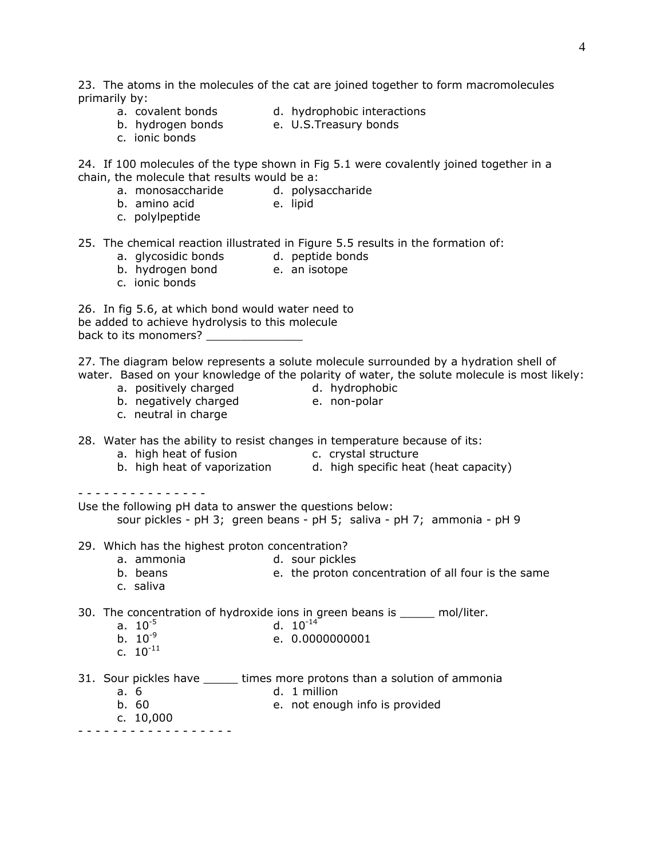23. The atoms in the molecules of the cat are joined together to form macromolecules primarily by:

- a. covalent bonds a. covalent bonds and the d. hydrophobic interactions
- b. hydrogen bonds e. U.S.Treasury bonds
- c. ionic bonds

24. If 100 molecules of the type shown in Fig 5.1 were covalently joined together in a chain, the molecule that results would be a:

- a. monosaccharide d. polysaccharide
- b. amino acid e. lipid
- c. polylpeptide

25. The chemical reaction illustrated in Figure 5.5 results in the formation of:

- a. glycosidic bonds d. peptide bonds
- b. hydrogen bond e. an isotope
- c. ionic bonds

26. In fig 5.6, at which bond would water need to be added to achieve hydrolysis to this molecule back to its monomers?

27. The diagram below represents a solute molecule surrounded by a hydration shell of water. Based on your knowledge of the polarity of water, the solute molecule is most likely:

- a. positively charged and d. hydrophobic
- b. negatively charged e. non-polar
- 
- c. neutral in charge
- 

28. Water has the ability to resist changes in temperature because of its:

- a. high heat of fusion exercise c. crystal structure
- b. high heat of vaporization d. high specific heat (heat capacity)

- - - - - - - - - - - - - - -

Use the following pH data to answer the questions below:

sour pickles - pH 3; green beans - pH 5; saliva - pH 7; ammonia - pH 9

29. Which has the highest proton concentration?

- a. ammonia d. sour pickles
- b. beans e. the proton concentration of all four is the same
- c. saliva

30. The concentration of hydroxide ions in green beans is \_\_\_\_\_ mol/liter.

- a.  $10^{-5}$  d.  $10^{-14}$ <br>b.  $10^{-9}$  e. 0.000
- b. 10-9 e. 0.0000000001
- c.  $10^{-11}$
- 31. Sour pickles have \_\_\_\_\_\_ times more protons than a solution of ammonia
	- a. 6 d. 1 million
	- b. 60 e. not enough info is provided
		- c. 10,000

- - - - - - - - - - - - - - - - - -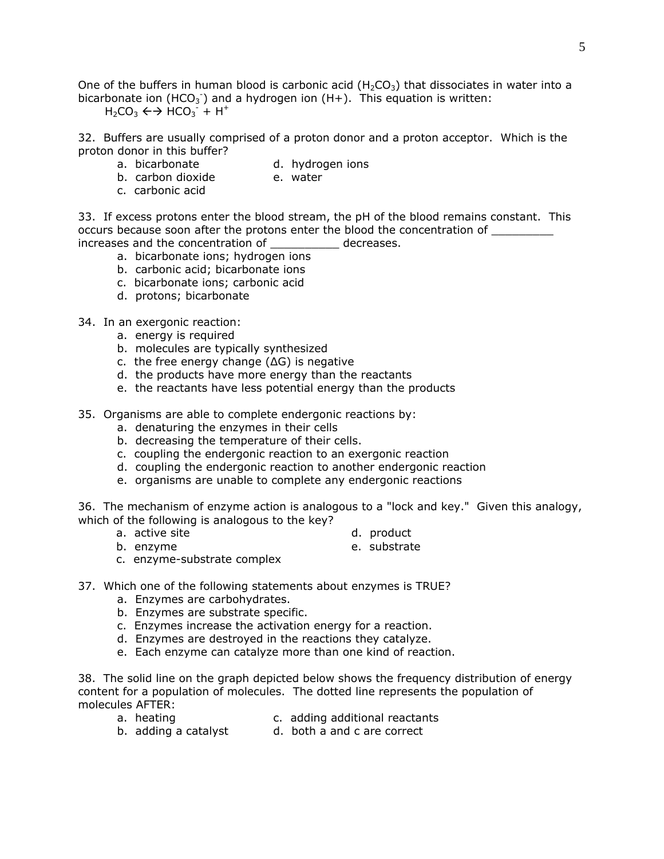One of the buffers in human blood is carbonic acid (H<sub>2</sub>CO<sub>3</sub>) that dissociates in water into a bicarbonate ion (HCO<sub>3</sub><sup>-</sup>) and a hydrogen ion (H+). This equation is written:

 $H_2CO_3 \leftrightarrow HCO_3^- + H^+$ 

32. Buffers are usually comprised of a proton donor and a proton acceptor. Which is the proton donor in this buffer?

- 
- 
- a. bicarbonate d. hydrogen ions<br>
b. carbon dioxide de. water b. carbon dioxide
- c. carbonic acid

33. If excess protons enter the blood stream, the pH of the blood remains constant. This occurs because soon after the protons enter the blood the concentration of increases and the concentration of decreases.

- a. bicarbonate ions; hydrogen ions
- b. carbonic acid; bicarbonate ions
- c. bicarbonate ions; carbonic acid
- d. protons; bicarbonate
- 34. In an exergonic reaction:
	- a. energy is required
	- b. molecules are typically synthesized
	- c. the free energy change (ΔG) is negative
	- d. the products have more energy than the reactants
	- e. the reactants have less potential energy than the products
- 35. Organisms are able to complete endergonic reactions by:
	- a. denaturing the enzymes in their cells
	- b. decreasing the temperature of their cells.
	- c. coupling the endergonic reaction to an exergonic reaction
	- d. coupling the endergonic reaction to another endergonic reaction
	- e. organisms are unable to complete any endergonic reactions

36. The mechanism of enzyme action is analogous to a "lock and key." Given this analogy, which of the following is analogous to the key?

- a. active site and the contract of the d. product
- 
- b. enzyme e. substrate
	-
- c. enzyme-substrate complex
- 37. Which one of the following statements about enzymes is TRUE?
	- a. Enzymes are carbohydrates.
	- b. Enzymes are substrate specific.
	- c. Enzymes increase the activation energy for a reaction.
	- d. Enzymes are destroyed in the reactions they catalyze.
	- e. Each enzyme can catalyze more than one kind of reaction.

38. The solid line on the graph depicted below shows the frequency distribution of energy content for a population of molecules. The dotted line represents the population of molecules AFTER:

- 
- a. heating c. adding additional reactants
- b. adding a catalyst d. both a and c are correct
	-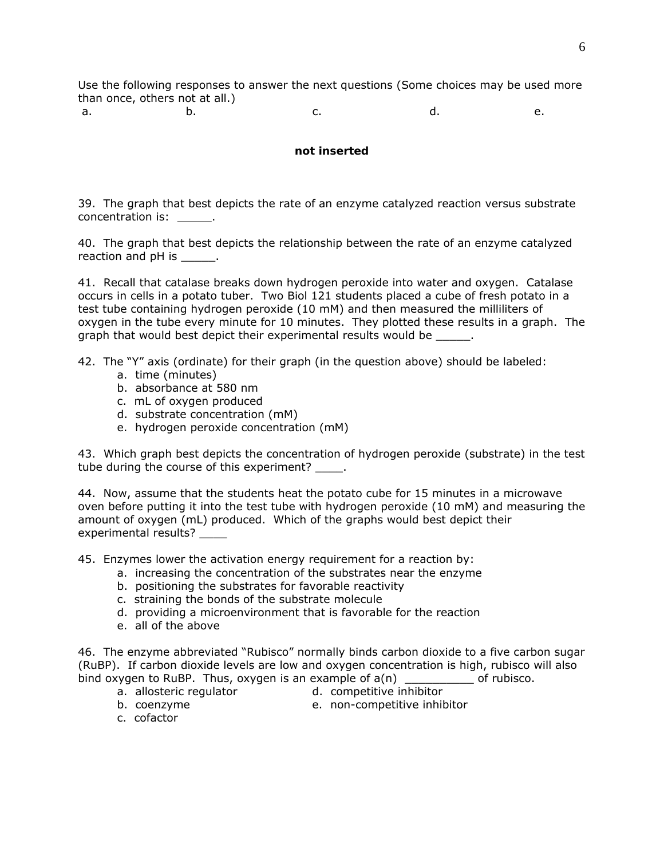Use the following responses to answer the next questions (Some choices may be used more than once, others not at all.)

a. b. c. c. d. e.

## *not inserted*

39. The graph that best depicts the rate of an enzyme catalyzed reaction versus substrate concentration is:

40. The graph that best depicts the relationship between the rate of an enzyme catalyzed reaction and pH is  $\qquad \qquad$ .

41. Recall that catalase breaks down hydrogen peroxide into water and oxygen. Catalase occurs in cells in a potato tuber. Two Biol 121 students placed a cube of fresh potato in a test tube containing hydrogen peroxide (10 mM) and then measured the milliliters of oxygen in the tube every minute for 10 minutes. They plotted these results in a graph. The graph that would best depict their experimental results would be  $\qquad \qquad$ .

42. The "Y" axis (ordinate) for their graph (in the question above) should be labeled:

- a. time (minutes)
- b. absorbance at 580 nm
- c. mL of oxygen produced
- d. substrate concentration (mM)
- e. hydrogen peroxide concentration (mM)

43. Which graph best depicts the concentration of hydrogen peroxide (substrate) in the test tube during the course of this experiment?

44. Now, assume that the students heat the potato cube for 15 minutes in a microwave oven before putting it into the test tube with hydrogen peroxide (10 mM) and measuring the amount of oxygen (mL) produced. Which of the graphs would best depict their experimental results?

45. Enzymes lower the activation energy requirement for a reaction by:

- a. increasing the concentration of the substrates near the enzyme
- b. positioning the substrates for favorable reactivity
- c. straining the bonds of the substrate molecule
- d. providing a microenvironment that is favorable for the reaction
- e. all of the above

46. The enzyme abbreviated "Rubisco" normally binds carbon dioxide to a five carbon sugar (RuBP). If carbon dioxide levels are low and oxygen concentration is high, rubisco will also bind oxygen to RuBP. Thus, oxygen is an example of  $a(n)$  \_\_\_\_\_\_\_\_\_\_\_\_ of rubisco.

- 
- a. allosteric regulator d. competitive inhibitor
- 
- b. coenzyme e. non-competitive inhibitor
- c. cofactor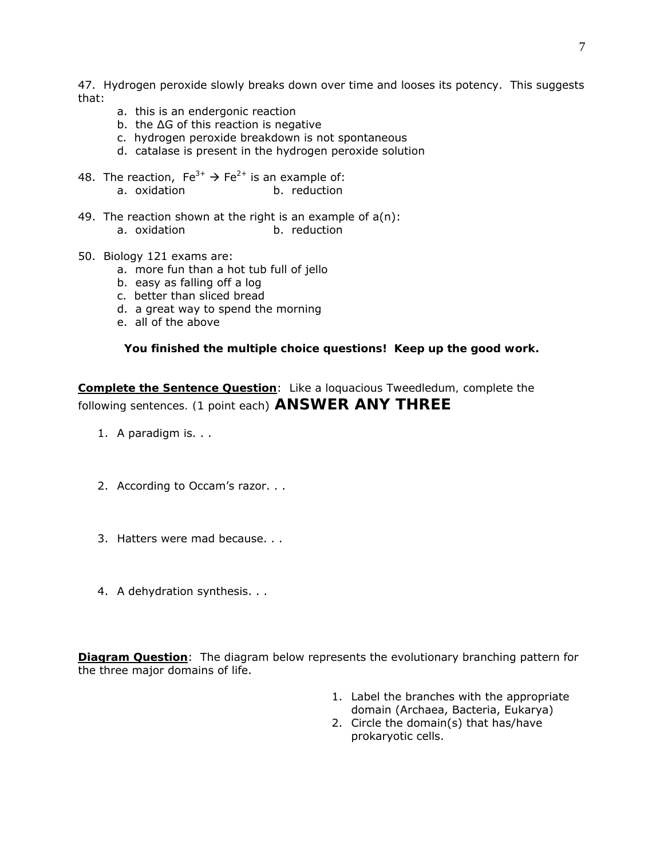47. Hydrogen peroxide slowly breaks down over time and looses its potency. This suggests that:

- a. this is an endergonic reaction
- b. the ∆G of this reaction is negative
- c. hydrogen peroxide breakdown is not spontaneous
- d. catalase is present in the hydrogen peroxide solution
- 48. The reaction,  $Fe^{3+} \rightarrow Fe^{2+}$  is an example of: a. oxidation b. reduction
- 49. The reaction shown at the right is an example of  $a(n)$ : a. oxidation b. reduction
- 50. Biology 121 exams are:
	- a. more fun than a hot tub full of jello
	- b. easy as falling off a log
	- c. better than sliced bread
	- d. a great way to spend the morning
	- e. all of the above

## *You finished the multiple choice questions! Keep up the good work.*

**Complete the Sentence Question**: *Like a loquacious Tweedledum, complete the following sentences. (1 point each*) **ANSWER ANY THREE**

- 1. A paradigm is. . .
- 2. According to Occam's razor. . .
- 3. Hatters were mad because. . .
- 4. A dehydration synthesis. . .

**Diagram Question**: The diagram below represents the evolutionary branching pattern for the three major domains of life.

- 1. Label the branches with the appropriate domain (Archaea, Bacteria, Eukarya)
- 2. Circle the domain(s) that has/have prokaryotic cells.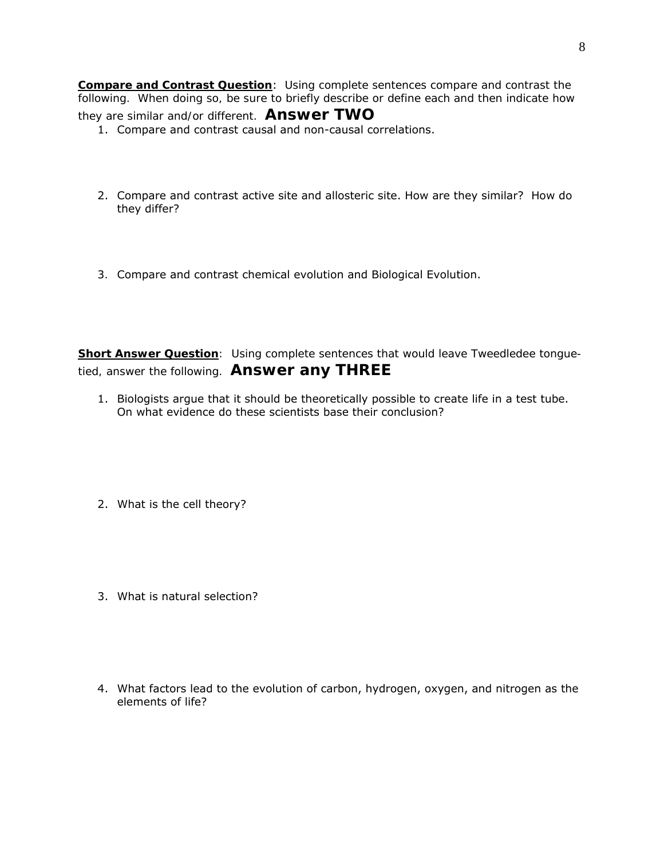**Compare and Contrast Question**: *Using complete sentences compare and contrast the following. When doing so, be sure to briefly describe or define each and then indicate how they are similar and/or different.* **Answer TWO**

- 1. Compare and contrast causal and non-causal correlations.
- 2. Compare and contrast active site and allosteric site. How are they similar? How do they differ?
- *3.* Compare and contrast chemical evolution and Biological Evolution.

**Short Answer Question***: Using complete sentences that would leave Tweedledee tonguetied, answer the following. Answer any THREE*

- 1. Biologists argue that it should be theoretically possible to create life in a test tube. On what evidence do these scientists base their conclusion?
- 2. What is the cell theory?
- 3. What is natural selection?
- 4. What factors lead to the evolution of carbon, hydrogen, oxygen, and nitrogen as the elements of life?